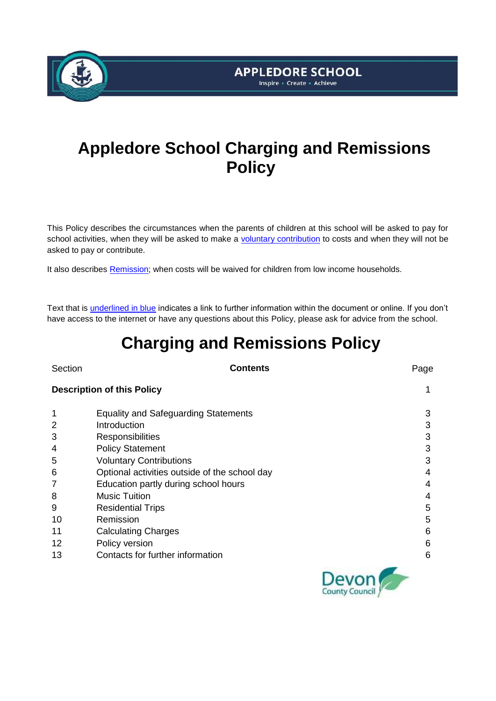

# **APPLEDORE SCHOOL** Inspire - Create - Achieve

# **Appledore School Charging and Remissions Policy**

This Policy describes the circumstances when the parents of children at this school will be asked to pay for school activities, when they will be asked to make a [voluntary contribution](#page-2-0) to costs and when they will not be asked to pay or contribute.

It also describes [Remission;](#page-3-0) when costs will be waived for children from low income households.

Text that is underlined in blue indicates a link to further information within the document or online. If you don't have access to the internet or have any questions about this Policy, please ask for advice from the school.

# **Charging and Remissions Policy**

| Section           | <b>Contents</b>                               | Page |
|-------------------|-----------------------------------------------|------|
|                   | <b>Description of this Policy</b>             | 1    |
| 1                 | <b>Equality and Safeguarding Statements</b>   | 3    |
| 2                 | Introduction                                  | 3    |
| 3                 | Responsibilities                              | 3    |
| 4                 | <b>Policy Statement</b>                       | 3    |
| 5                 | <b>Voluntary Contributions</b>                | 3    |
| 6                 | Optional activities outside of the school day | 4    |
| 7                 | Education partly during school hours          | 4    |
| 8                 | <b>Music Tuition</b>                          | 4    |
| 9                 | <b>Residential Trips</b>                      | 5    |
| 10                | Remission                                     | 5    |
| 11                | <b>Calculating Charges</b>                    | 6    |
| $12 \overline{ }$ | Policy version                                | 6    |
| 13                | Contacts for further information              | 6    |
|                   |                                               |      |

County Council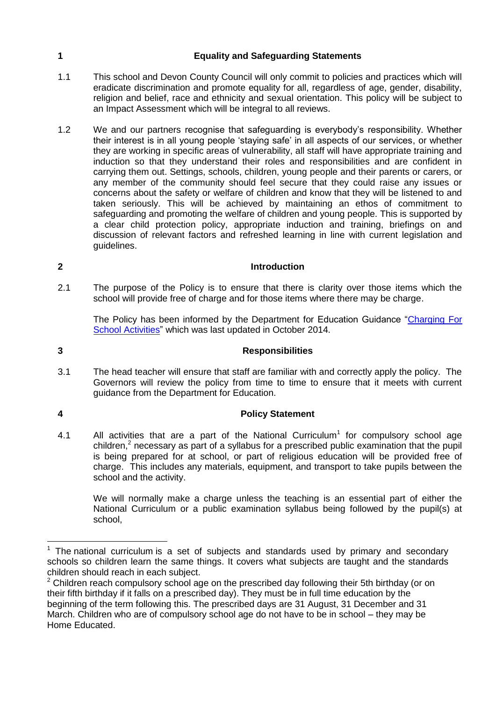## **1 Equality and Safeguarding Statements**

- 1.1 This school and Devon County Council will only commit to policies and practices which will eradicate discrimination and promote equality for all, regardless of age, gender, disability, religion and belief, race and ethnicity and sexual orientation. This policy will be subject to an Impact Assessment which will be integral to all reviews.
- 1.2 We and our partners recognise that safeguarding is everybody's responsibility. Whether their interest is in all young people 'staying safe' in all aspects of our services, or whether they are working in specific areas of vulnerability, all staff will have appropriate training and induction so that they understand their roles and responsibilities and are confident in carrying them out. Settings, schools, children, young people and their parents or carers, or any member of the community should feel secure that they could raise any issues or concerns about the safety or welfare of children and know that they will be listened to and taken seriously. This will be achieved by maintaining an ethos of commitment to safeguarding and promoting the welfare of children and young people. This is supported by a clear child protection policy, appropriate induction and training, briefings on and discussion of relevant factors and refreshed learning in line with current legislation and guidelines.

# **2 Introduction**

2.1 The purpose of the Policy is to ensure that there is clarity over those items which the school will provide free of charge and for those items where there may be charge.

The Policy has been informed by the Department for Education Guidance ["Charging For](https://www.gov.uk/government/publications/charging-for-school-activities)  [School Activities"](https://www.gov.uk/government/publications/charging-for-school-activities) which was last updated in October 2014.

# **3 Responsibilities**

3.1 The head teacher will ensure that staff are familiar with and correctly apply the policy. The Governors will review the policy from time to time to ensure that it meets with current guidance from the Department for Education.

**4 Policy Statement**

4.1 All activities that are a part of the National Curriculum<sup>1</sup> for compulsory school age children,<sup>2</sup> necessary as part of a syllabus for a prescribed public examination that the pupil is being prepared for at school, or part of religious education will be provided free of charge. This includes any materials, equipment, and transport to take pupils between the school and the activity.

We will normally make a charge unless the teaching is an essential part of either the National Curriculum or a public examination syllabus being followed by the pupil(s) at school,

 $\overline{a}$  $1$  The national curriculum is a set of subjects and standards used by primary and secondary schools so children learn the same things. It covers what subjects are taught and the standards children should reach in each subject.

 $2$  Children reach compulsory school age on the prescribed day following their 5th birthday (or on their fifth birthday if it falls on a prescribed day). They must be in full time education by the beginning of the term following this. The prescribed days are 31 August, 31 December and 31 March. Children who are of compulsory school age do not have to be in school – they may be Home Educated.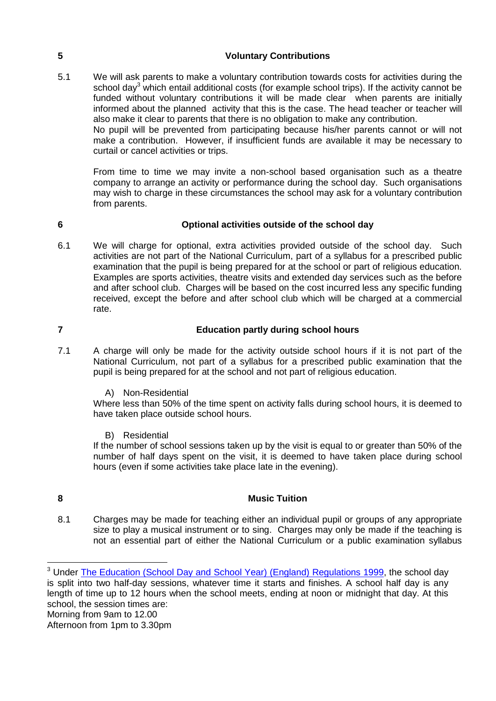### <span id="page-2-0"></span>**5 Voluntary Contributions**

5.1 We will ask parents to make a voluntary contribution towards costs for activities during the school day<sup>3</sup> which entail additional costs (for example school trips). If the activity cannot be funded without voluntary contributions it will be made clear when parents are initially informed about the planned activity that this is the case. The head teacher or teacher will also make it clear to parents that there is no obligation to make any contribution. No pupil will be prevented from participating because his/her parents cannot or will not

make a contribution. However, if insufficient funds are available it may be necessary to curtail or cancel activities or trips.

From time to time we may invite a non-school based organisation such as a theatre company to arrange an activity or performance during the school day. Such organisations may wish to charge in these circumstances the school may ask for a voluntary contribution from parents.

**6 Optional activities outside of the school day**

6.1 We will charge for optional, extra activities provided outside of the school day. Such activities are not part of the National Curriculum, part of a syllabus for a prescribed public examination that the pupil is being prepared for at the school or part of religious education. Examples are sports activities, theatre visits and extended day services such as the before and after school club. Charges will be based on the cost incurred less any specific funding received, except the before and after school club which will be charged at a commercial rate.

#### **7 Education partly during school hours**

- 7.1 A charge will only be made for the activity outside school hours if it is not part of the National Curriculum, not part of a syllabus for a prescribed public examination that the pupil is being prepared for at the school and not part of religious education.
	- A) Non-Residential

Where less than 50% of the time spent on activity falls during school hours, it is deemed to have taken place outside school hours.

B) Residential

If the number of school sessions taken up by the visit is equal to or greater than 50% of the number of half days spent on the visit, it is deemed to have taken place during school hours (even if some activities take place late in the evening).

1

#### **8 Music Tuition**

8.1 Charges may be made for teaching either an individual pupil or groups of any appropriate size to play a musical instrument or to sing. Charges may only be made if the teaching is not an essential part of either the National Curriculum or a public examination syllabus

<sup>&</sup>lt;sup>3</sup> Under [The Education \(School Day and School Year\) \(England\) Regulations 1999,](http://www.legislation.gov.uk/uksi/1999/3181/contents/made) the school day is split into two half-day sessions, whatever time it starts and finishes. A school half day is any length of time up to 12 hours when the school meets, ending at noon or midnight that day. At this school, the session times are: Morning from 9am to 12.00 Afternoon from 1pm to 3.30pm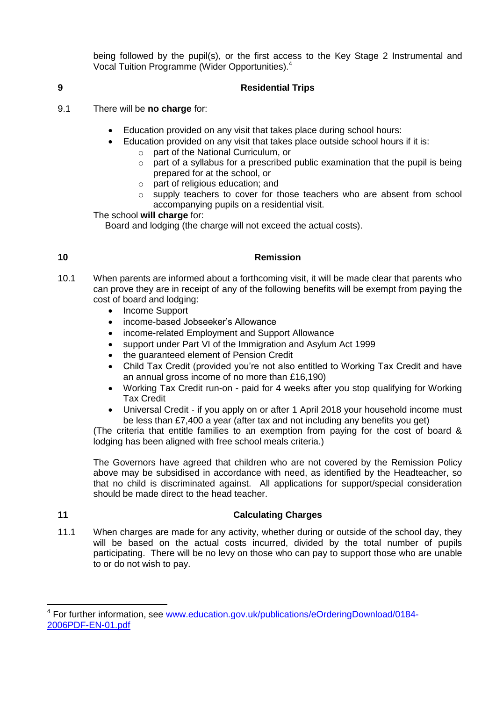being followed by the pupil(s), or the first access to the Key Stage 2 Instrumental and Vocal Tuition Programme (Wider Opportunities).<sup>4</sup>

### **9 Residential Trips**

- 9.1 There will be **no charge** for:
	- Education provided on any visit that takes place during school hours:
	- Education provided on any visit that takes place outside school hours if it is:
		- o part of the National Curriculum, or
		- o part of a syllabus for a prescribed public examination that the pupil is being prepared for at the school, or
		- o part of religious education; and
		- $\circ$  supply teachers to cover for those teachers who are absent from school accompanying pupils on a residential visit.

The school **will charge** for:

Board and lodging (the charge will not exceed the actual costs).

#### <span id="page-3-0"></span>**10 Remission**

- 10.1 When parents are informed about a forthcoming visit, it will be made clear that parents who can prove they are in receipt of any of the following benefits will be exempt from paying the cost of board and lodging:
	- Income Support
	- income-based Jobseeker's Allowance
	- income-related Employment and Support Allowance
	- support under Part VI of the Immigration and Asylum Act 1999
	- the guaranteed element of Pension Credit
	- Child Tax Credit (provided you're not also entitled to Working Tax Credit and have an annual gross income of no more than £16,190)
	- Working Tax Credit run-on paid for 4 weeks after you stop qualifying for Working Tax Credit
	- Universal Credit if you apply on or after 1 April 2018 your household income must be less than £7,400 a year (after tax and not including any benefits you get)

(The criteria that entitle families to an exemption from paying for the cost of board & lodging has been aligned with free school meals criteria.)

The Governors have agreed that children who are not covered by the Remission Policy above may be subsidised in accordance with need, as identified by the Headteacher, so that no child is discriminated against. All applications for support/special consideration should be made direct to the head teacher.

**.** 

### **11 Calculating Charges**

11.1 When charges are made for any activity, whether during or outside of the school day, they will be based on the actual costs incurred, divided by the total number of pupils participating. There will be no levy on those who can pay to support those who are unable to or do not wish to pay.

<sup>4</sup> For further information, see [www.education.gov.uk/publications/eOrderingDownload/0184-](http://www.education.gov.uk/publications/eOrderingDownload/0184-2006PDF-EN-01.pdf) [2006PDF-EN-01.pdf](http://www.education.gov.uk/publications/eOrderingDownload/0184-2006PDF-EN-01.pdf)